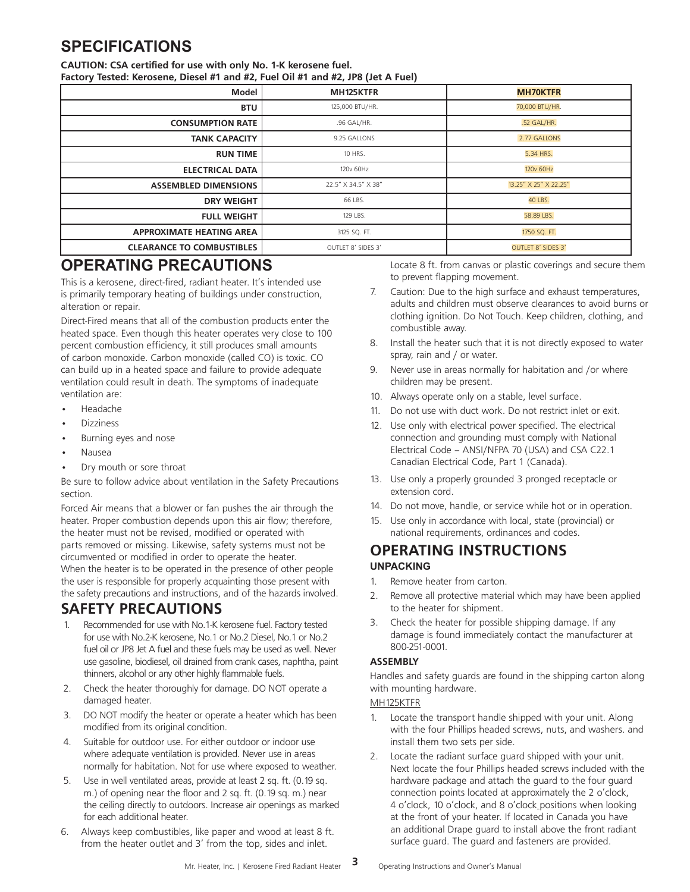# **SPECIFICATIONS**

#### **CAUTION: CSA certified for use with only No. 1-K kerosene fuel.**

**Factory Tested: Kerosene, Diesel #1 and #2, Fuel Oil #1 and #2, JP8 (Jet A Fuel)**

| Model                            | MH125KTFR           | <b>MH70KTFR</b>           |
|----------------------------------|---------------------|---------------------------|
| <b>BTU</b>                       | 125,000 BTU/HR.     | 70,000 BTU/HR.            |
| <b>CONSUMPTION RATE</b>          | .96 GAL/HR.         | .52 GAL/HR.               |
| <b>TANK CAPACITY</b>             | 9.25 GALLONS        | 2.77 GALLONS              |
| <b>RUN TIME</b>                  | 10 HRS.             | 5.34 HRS.                 |
| <b>ELECTRICAL DATA</b>           | 120v 60Hz           | 120v 60Hz                 |
| <b>ASSEMBLED DIMENSIONS</b>      | 22.5" X 34.5" X 38" | 13.25" X 25" X 22.25"     |
| <b>DRY WEIGHT</b>                | 66 LBS.             | 40 LBS.                   |
| <b>FULL WEIGHT</b>               | 129 LBS.            | 58.89 LBS.                |
| <b>APPROXIMATE HEATING AREA</b>  | 3125 SQ. FT.        | 1750 SQ. FT.              |
| <b>CLEARANCE TO COMBUSTIBLES</b> | OUTLET 8' SIDES 3'  | <b>OUTLET 8' SIDES 3'</b> |

# **OPERATING PRECAUTIONS**

This is a kerosene, direct-fired, radiant heater. It's intended use is primarily temporary heating of buildings under construction, alteration or repair.

Direct-Fired means that all of the combustion products enter the heated space. Even though this heater operates very close to 100 percent combustion efficiency, it still produces small amounts of carbon monoxide. Carbon monoxide (called CO) is toxic. CO can build up in a heated space and failure to provide adequate ventilation could result in death. The symptoms of inadequate ventilation are:

- Headache
- **Dizziness**
- Burning eyes and nose
- Nausea
- Dry mouth or sore throat

Be sure to follow advice about ventilation in the Safety Precautions section.

Forced Air means that a blower or fan pushes the air through the heater. Proper combustion depends upon this air flow; therefore, the heater must not be revised, modified or operated with parts removed or missing. Likewise, safety systems must not be circumvented or modified in order to operate the heater. When the heater is to be operated in the presence of other people the user is responsible for properly acquainting those present with the safety precautions and instructions, and of the hazards involved.

## **SAFETY PRECAUTIONS**

- 1. Recommended for use with No.1-K kerosene fuel. Factory tested for use with No.2-K kerosene, No.1 or No.2 Diesel, No.1 or No.2 fuel oil or JP8 Jet A fuel and these fuels may be used as well. Never use gasoline, biodiesel, oil drained from crank cases, naphtha, paint thinners, alcohol or any other highly flammable fuels.
- 2. Check the heater thoroughly for damage. DO NOT operate a damaged heater.
- 3. DO NOT modify the heater or operate a heater which has been modified from its original condition.
- 4. Suitable for outdoor use. For either outdoor or indoor use where adequate ventilation is provided. Never use in areas normally for habitation. Not for use where exposed to weather.
- 5. Use in well ventilated areas, provide at least 2 sq. ft. (0.19 sq. m.) of opening near the floor and 2 sq. ft. (0.19 sq. m.) near the ceiling directly to outdoors. Increase air openings as marked for each additional heater.
- 6. Always keep combustibles, like paper and wood at least 8 ft. from the heater outlet and 3' from the top, sides and inlet.

Locate 8 ft. from canvas or plastic coverings and secure them to prevent flapping movement.

- 7. Caution: Due to the high surface and exhaust temperatures, adults and children must observe clearances to avoid burns or clothing ignition. Do Not Touch. Keep children, clothing, and combustible away.
- 8. Install the heater such that it is not directly exposed to water spray, rain and / or water.
- 9. Never use in areas normally for habitation and /or where children may be present.
- 10. Always operate only on a stable, level surface.
- 11. Do not use with duct work. Do not restrict inlet or exit.
- 12. Use only with electrical power specified. The electrical connection and grounding must comply with National Electrical Code – ANSI/NFPA 70 (USA) and CSA C22.1 Canadian Electrical Code, Part 1 (Canada).
- 13. Use only a properly grounded 3 pronged receptacle or extension cord.
- 14. Do not move, handle, or service while hot or in operation.
- 15. Use only in accordance with local, state (provincial) or national requirements, ordinances and codes.

## **OPERATING INSTRUCTIONS UNPACKING**

- 1. Remove heater from carton.
- 2. Remove all protective material which may have been applied to the heater for shipment.
- 3. Check the heater for possible shipping damage. If any damage is found immediately contact the manufacturer at 800-251-0001.

### **ASSEMBLY**

Handles and safety guards are found in the shipping carton along with mounting hardware.

### MH125KTFR

- 1. Locate the transport handle shipped with your unit. Along with the four Phillips headed screws, nuts, and washers. and install them two sets per side.
- 2. Locate the radiant surface guard shipped with your unit. Next locate the four Phillips headed screws included with the hardware package and attach the guard to the four guard connection points located at approximately the 2 o'clock, 4 o'clock, 10 o'clock, and 8 o'clock positions when looking at the front of your heater. If located in Canada you have an additional Drape guard to install above the front radiant surface guard. The guard and fasteners are provided.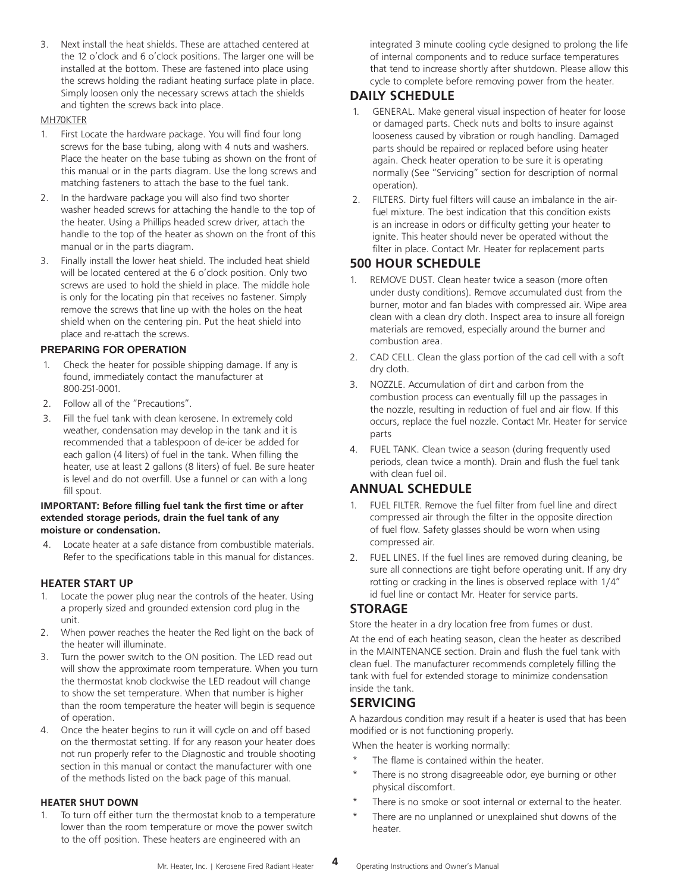3. Next install the heat shields. These are attached centered at the 12 o'clock and 6 o'clock positions. The larger one will be installed at the bottom. These are fastened into place using the screws holding the radiant heating surface plate in place. Simply loosen only the necessary screws attach the shields and tighten the screws back into place.

#### MH70KTFR

- 1. First Locate the hardware package. You will find four long screws for the base tubing, along with 4 nuts and washers. Place the heater on the base tubing as shown on the front of this manual or in the parts diagram. Use the long screws and matching fasteners to attach the base to the fuel tank.
- 2. In the hardware package you will also find two shorter washer headed screws for attaching the handle to the top of the heater. Using a Phillips headed screw driver, attach the handle to the top of the heater as shown on the front of this manual or in the parts diagram.
- 3. Finally install the lower heat shield. The included heat shield will be located centered at the 6 o'clock position. Only two screws are used to hold the shield in place. The middle hole is only for the locating pin that receives no fastener. Simply remove the screws that line up with the holes on the heat shield when on the centering pin. Put the heat shield into place and re-attach the screws.

#### **PREPARING FOR OPERATION**

- 1. Check the heater for possible shipping damage. If any is found, immediately contact the manufacturer at 800-251-0001.
- 2. Follow all of the "Precautions".
- 3. Fill the fuel tank with clean kerosene. In extremely cold weather, condensation may develop in the tank and it is recommended that a tablespoon of de-icer be added for each gallon (4 liters) of fuel in the tank. When filling the heater, use at least 2 gallons (8 liters) of fuel. Be sure heater is level and do not overfill. Use a funnel or can with a long fill spout.

#### **IMPORTANT: Before filling fuel tank the first time or after extended storage periods, drain the fuel tank of any moisture or condensation.**

4. Locate heater at a safe distance from combustible materials. Refer to the specifications table in this manual for distances.

### **HEATER START UP**

- 1. Locate the power plug near the controls of the heater. Using a properly sized and grounded extension cord plug in the unit.
- 2. When power reaches the heater the Red light on the back of the heater will illuminate.
- 3. Turn the power switch to the ON position. The LED read out will show the approximate room temperature. When you turn the thermostat knob clockwise the LED readout will change to show the set temperature. When that number is higher than the room temperature the heater will begin is sequence of operation.
- 4. Once the heater begins to run it will cycle on and off based on the thermostat setting. If for any reason your heater does not run properly refer to the Diagnostic and trouble shooting section in this manual or contact the manufacturer with one of the methods listed on the back page of this manual.

#### **HEATER SHUT DOWN**

To turn off either turn the thermostat knob to a temperature lower than the room temperature or move the power switch to the off position. These heaters are engineered with an

integrated 3 minute cooling cycle designed to prolong the life of internal components and to reduce surface temperatures that tend to increase shortly after shutdown. Please allow this cycle to complete before removing power from the heater.

## **DAILY SCHEDULE**

- 1. GENERAL. Make general visual inspection of heater for loose or damaged parts. Check nuts and bolts to insure against looseness caused by vibration or rough handling. Damaged parts should be repaired or replaced before using heater again. Check heater operation to be sure it is operating normally (See "Servicing" section for description of normal operation).
- 2. FILTERS. Dirty fuel filters will cause an imbalance in the airfuel mixture. The best indication that this condition exists is an increase in odors or difficulty getting your heater to ignite. This heater should never be operated without the filter in place. Contact Mr. Heater for replacement parts

## **500 HOUR SCHEDULE**

- REMOVE DUST. Clean heater twice a season (more often under dusty conditions). Remove accumulated dust from the burner, motor and fan blades with compressed air. Wipe area clean with a clean dry cloth. Inspect area to insure all foreign materials are removed, especially around the burner and combustion area.
- 2. CAD CELL. Clean the glass portion of the cad cell with a soft dry cloth.
- 3. NOZZLE. Accumulation of dirt and carbon from the combustion process can eventually fill up the passages in the nozzle, resulting in reduction of fuel and air flow. If this occurs, replace the fuel nozzle. Contact Mr. Heater for service parts
- 4. FUEL TANK. Clean twice a season (during frequently used periods, clean twice a month). Drain and flush the fuel tank with clean fuel oil.

## **ANNUAL SCHEDULE**

- 1. FUEL FILTER. Remove the fuel filter from fuel line and direct compressed air through the filter in the opposite direction of fuel flow. Safety glasses should be worn when using compressed air.
- 2. FUEL LINES. If the fuel lines are removed during cleaning, be sure all connections are tight before operating unit. If any dry rotting or cracking in the lines is observed replace with 1/4" id fuel line or contact Mr. Heater for service parts.

## **STORAGE**

Store the heater in a dry location free from fumes or dust.

At the end of each heating season, clean the heater as described in the MAINTENANCE section. Drain and flush the fuel tank with clean fuel. The manufacturer recommends completely filling the tank with fuel for extended storage to minimize condensation inside the tank.

## **SERVICING**

A hazardous condition may result if a heater is used that has been modified or is not functioning properly.

When the heater is working normally:

- The flame is contained within the heater.
- There is no strong disagreeable odor, eye burning or other physical discomfort.
- There is no smoke or soot internal or external to the heater.
- There are no unplanned or unexplained shut downs of the heater.